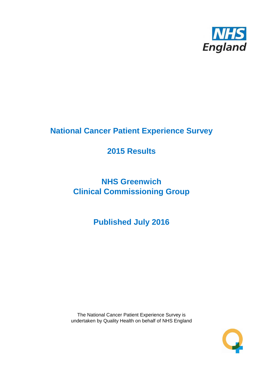

# **National Cancer Patient Experience Survey**

# **2015 Results**

# **NHS Greenwich Clinical Commissioning Group**

**Published July 2016**

The National Cancer Patient Experience Survey is undertaken by Quality Health on behalf of NHS England

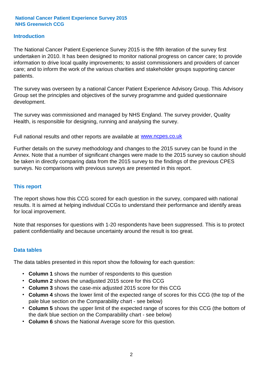#### **Introduction**

The National Cancer Patient Experience Survey 2015 is the fifth iteration of the survey first undertaken in 2010. It has been designed to monitor national progress on cancer care; to provide information to drive local quality improvements; to assist commissioners and providers of cancer care; and to inform the work of the various charities and stakeholder groups supporting cancer patients.

The survey was overseen by a national Cancer Patient Experience Advisory Group. This Advisory Group set the principles and objectives of the survey programme and guided questionnaire development.

The survey was commissioned and managed by NHS England. The survey provider, Quality Health, is responsible for designing, running and analysing the survey.

Full national results and other reports are available at www.ncpes.co.uk

Further details on the survey methodology and changes to the 2015 survey can be found in the Annex. Note that a number of significant changes were made to the 2015 survey so caution should be taken in directly comparing data from the 2015 survey to the findings of the previous CPES surveys. No comparisons with previous surveys are presented in this report.

#### **This report**

The report shows how this CCG scored for each question in the survey, compared with national results. It is aimed at helping individual CCGs to understand their performance and identify areas for local improvement.

Note that responses for questions with 1-20 respondents have been suppressed. This is to protect patient confidentiality and because uncertainty around the result is too great.

#### **Data tables**

The data tables presented in this report show the following for each question:

- **Column 1** shows the number of respondents to this question
- **Column 2** shows the unadjusted 2015 score for this CCG
- **Column 3** shows the case-mix adjusted 2015 score for this CCG
- **Column 4** shows the lower limit of the expected range of scores for this CCG (the top of the pale blue section on the Comparability chart - see below)
- **Column 5** shows the upper limit of the expected range of scores for this CCG (the bottom of the dark blue section on the Comparability chart - see below)
- **Column 6** shows the National Average score for this question.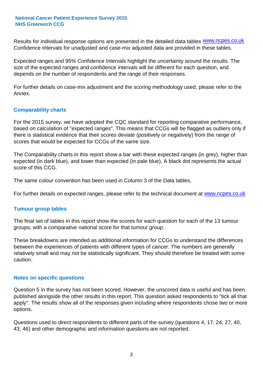Results for individual response options are presented in the detailed data tables **WWW.ncpes.co.uk** Confidence Intervals for unadjusted and case-mix adjusted data are provided in these tables.

Expected ranges and 95% Confidence Intervals highlight the uncertainty around the results. The size of the expected ranges and confidence intervals will be different for each question, and depends on the number of respondents and the range of their responses.

For further details on case-mix adjustment and the scoring methodology used, please refer to the Annex.

#### **Comparability charts**

For the 2015 survey, we have adopted the CQC standard for reporting comparative performance, based on calculation of "expected ranges". This means that CCGs will be flagged as outliers only if there is statistical evidence that their scores deviate (positively or negatively) from the range of scores that would be expected for CCGs of the same size.

The Comparability charts in this report show a bar with these expected ranges (in grey), higher than expected (in dark blue), and lower than expected (in pale blue). A black dot represents the actual score of this CCG.

The same colour convention has been used in Column 3 of the Data tables.

For further details on expected ranges, please refer to the technical document at **www.ncpes.co.uk** 

#### **Tumour group tables**

The final set of tables in this report show the scores for each question for each of the 13 tumour groups, with a comparative national score for that tumour group.

These breakdowns are intended as additional information for CCGs to understand the differences between the experiences of patients with different types of cancer. The numbers are generally relatively small and may not be statistically significant. They should therefore be treated with some caution.

#### **Notes on specific questions**

Question 5 in the survey has not been scored. However, the unscored data is useful and has been published alongside the other results in this report. This question asked respondents to "tick all that apply". The results show all of the responses given including where respondents chose two or more options.

Questions used to direct respondents to different parts of the survey (questions 4, 17, 24, 27, 40, 43, 46) and other demographic and information questions are not reported.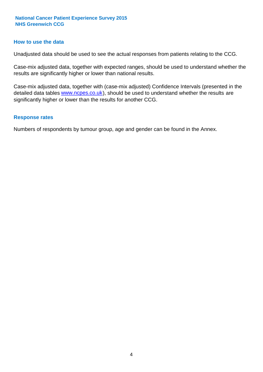#### **How to use the data**

Unadjusted data should be used to see the actual responses from patients relating to the CCG.

Case-mix adjusted data, together with expected ranges, should be used to understand whether the results are significantly higher or lower than national results.

Case-mix adjusted data, together with (case-mix adjusted) Confidence Intervals (presented in the detailed data tables **www.ncpes.co.uk**), should be used to understand whether the results are significantly higher or lower than the results for another CCG.

#### **Response rates**

Numbers of respondents by tumour group, age and gender can be found in the Annex.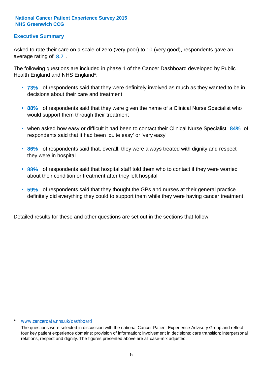#### **Executive Summary**

average rating of 8.7. Asked to rate their care on a scale of zero (very poor) to 10 (very good), respondents gave an

The following questions are included in phase 1 of the Cancer Dashboard developed by Public Health England and NHS England\*:

- **73%** of respondents said that they were definitely involved as much as they wanted to be in decisions about their care and treatment
- **88%** of respondents said that they were given the name of a Clinical Nurse Specialist who would support them through their treatment
- when asked how easy or difficult it had been to contact their Clinical Nurse Specialist 84% of respondents said that it had been 'quite easy' or 'very easy'
- **86%** of respondents said that, overall, they were always treated with dignity and respect they were in hospital
- **88%** of respondents said that hospital staff told them who to contact if they were worried about their condition or treatment after they left hospital
- **59%** of respondents said that they thought the GPs and nurses at their general practice definitely did everything they could to support them while they were having cancer treatment.

Detailed results for these and other questions are set out in the sections that follow.

#### \* www.cancerdata.nhs.uk/dashboard

The questions were selected in discussion with the national Cancer Patient Experience Advisory Group and reflect four key patient experience domains: provision of information; involvement in decisions; care transition; interpersonal relations, respect and dignity. The figures presented above are all case-mix adjusted.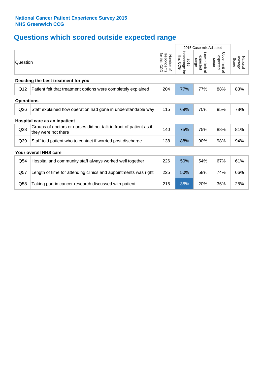# **Questions which scored outside expected range**

|                   |                                                                                           |                                              | 2015 Case-mix Adjusted               |                                     |                                              |                              |
|-------------------|-------------------------------------------------------------------------------------------|----------------------------------------------|--------------------------------------|-------------------------------------|----------------------------------------------|------------------------------|
| Question          |                                                                                           | for this<br>respondents<br>Number of<br>င္ပင | Percentage for<br>ins<br>2015<br>CCG | Lower limit of<br>expected<br>range | Upper limit<br>expected<br>range<br>$\Omega$ | National<br>Average<br>Score |
|                   | Deciding the best treatment for you                                                       |                                              |                                      |                                     |                                              |                              |
| Q12               | Patient felt that treatment options were completely explained                             | 204                                          | 77%                                  | 77%                                 | 88%                                          | 83%                          |
| <b>Operations</b> |                                                                                           |                                              |                                      |                                     |                                              |                              |
| Q26               | Staff explained how operation had gone in understandable way                              | 115                                          | 69%                                  | 70%                                 | 85%                                          | 78%                          |
|                   | Hospital care as an inpatient                                                             |                                              |                                      |                                     |                                              |                              |
| Q28               | Groups of doctors or nurses did not talk in front of patient as if<br>they were not there | 140                                          | 75%                                  | 75%                                 | 88%                                          | 81%                          |
| Q39               | Staff told patient who to contact if worried post discharge                               | 138                                          | 88%                                  | 90%                                 | 98%                                          | 94%                          |
|                   | <b>Your overall NHS care</b>                                                              |                                              |                                      |                                     |                                              |                              |
| Q54               | Hospital and community staff always worked well together                                  | 226                                          | 50%                                  | 54%                                 | 67%                                          | 61%                          |
| Q57               | Length of time for attending clinics and appointments was right                           | 225                                          | 50%                                  | 58%                                 | 74%                                          | 66%                          |
| Q58               | Taking part in cancer research discussed with patient                                     | 215                                          | 38%                                  | 20%                                 | 36%                                          | 28%                          |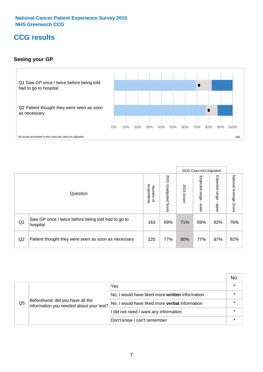### **CCG results**

#### **Seeing your GP**



|    |                                                                |                                         |                             |               | 2015 Case-mix Adjusted     |                            |                        |
|----|----------------------------------------------------------------|-----------------------------------------|-----------------------------|---------------|----------------------------|----------------------------|------------------------|
|    | Question                                                       | respondents<br>Number<br>$\overline{a}$ | 2015<br>Unadjusted<br>Score | 2015<br>Score | Expected<br>range<br>lower | Expected<br>range<br>nbber | National Average Score |
| Q1 | Saw GP once / twice before being told had to go to<br>hospital | 163                                     | 69%                         | 71%           | 69%                        | 82%                        | 76%                    |
| Q2 | Patient thought they were seen as soon as necessary            | 225                                     | 77%                         | 80%           | 77%                        | 87%                        | 82%                    |

|    |                                                                             |                                                 | No. |
|----|-----------------------------------------------------------------------------|-------------------------------------------------|-----|
|    | Beforehand, did you have all the<br>information you needed about your test? | Yes                                             |     |
|    |                                                                             | No, I would have liked more written information |     |
| Q5 |                                                                             | No, I would have liked more verbal information  |     |
|    |                                                                             | I did not need / want any information           |     |
|    |                                                                             | Don't know / can't remember                     |     |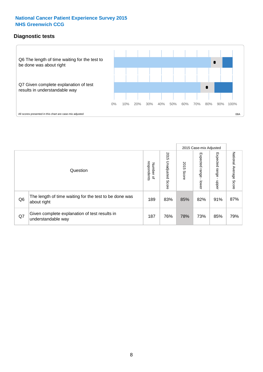### **Diagnostic tests**



|                |                                                                       |                                   |                             |               | 2015 Case-mix Adjusted  |                         |                           |
|----------------|-----------------------------------------------------------------------|-----------------------------------|-----------------------------|---------------|-------------------------|-------------------------|---------------------------|
|                | Question                                                              | respondents<br>Number<br>$\Omega$ | 2015<br>Unadjusted<br>Score | 2015<br>Score | Expected range<br>lower | Expected range<br>nbber | National Average<br>Score |
| Q <sub>6</sub> | The length of time waiting for the test to be done was<br>about right | 189                               | 83%                         | 85%           | 82%                     | 91%                     | 87%                       |
| Q7             | Given complete explanation of test results in<br>understandable way   | 187                               | 76%                         | 78%           | 73%                     | 85%                     | 79%                       |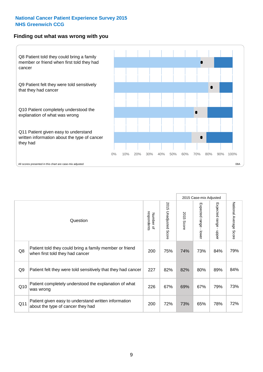#### **Finding out what was wrong with you**



|                |                                                                                            |                          |                                 |                      | 2015 Case-mix Adjusted                  |                                         |                        |
|----------------|--------------------------------------------------------------------------------------------|--------------------------|---------------------------------|----------------------|-----------------------------------------|-----------------------------------------|------------------------|
|                | Question                                                                                   | respondents<br>Number of | 2015<br><b>Unadjusted Score</b> | 2015<br><b>Score</b> | Expected range<br>$\mathbf{r}$<br>lower | Expected range<br>$\mathbf{I}$<br>hbber | National Average Score |
| Q8             | Patient told they could bring a family member or friend<br>when first told they had cancer | 200                      | 75%                             | 74%                  | 73%                                     | 84%                                     | 79%                    |
| Q <sub>9</sub> | Patient felt they were told sensitively that they had cancer                               | 227                      | 82%                             | 82%                  | 80%                                     | 89%                                     | 84%                    |
| Q10            | Patient completely understood the explanation of what<br>was wrong                         | 226                      | 67%                             | 69%                  | 67%                                     | 79%                                     | 73%                    |
| Q11            | Patient given easy to understand written information<br>about the type of cancer they had  | 200                      | 72%                             | 73%                  | 65%                                     | 78%                                     | 72%                    |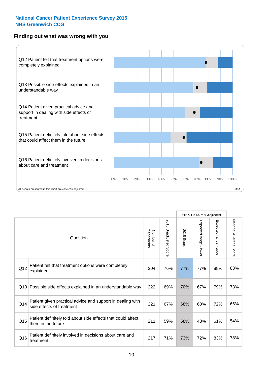#### **Finding out what was wrong with you**



|     |                                                                                         |                          |                          |               | 2015 Case-mix Adjusted                    |                        |                        |
|-----|-----------------------------------------------------------------------------------------|--------------------------|--------------------------|---------------|-------------------------------------------|------------------------|------------------------|
|     | Question                                                                                | Number of<br>respondents | 2015<br>Unadjusted Score | 2015<br>Score | Expected range<br>$\blacksquare$<br>lower | Expected range - upper | National Average Score |
| Q12 | Patient felt that treatment options were completely<br>explained                        | 204                      | 76%                      | 77%           | 77%                                       | 88%                    | 83%                    |
| Q13 | Possible side effects explained in an understandable way                                | 222                      | 69%                      | 70%           | 67%                                       | 79%                    | 73%                    |
| Q14 | Patient given practical advice and support in dealing with<br>side effects of treatment | 221                      | 67%                      | 68%           | 60%                                       | 72%                    | 66%                    |
| Q15 | Patient definitely told about side effects that could affect<br>them in the future      | 211                      | 59%                      | 58%           | 48%                                       | 61%                    | 54%                    |
| Q16 | Patient definitely involved in decisions about care and<br>treatment                    | 217                      | 71%                      | 73%           | 72%                                       | 83%                    | 78%                    |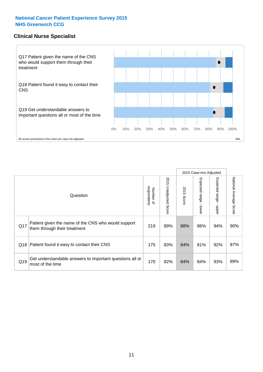#### **Clinical Nurse Specialist**



|     |                                                                                     |                          |                       |               | 2015 Case-mix Adjusted  |                         |                           |
|-----|-------------------------------------------------------------------------------------|--------------------------|-----------------------|---------------|-------------------------|-------------------------|---------------------------|
|     | Question                                                                            | respondents<br>Number of | 2015 Unadjusted Score | 2015<br>Score | Expected range<br>lower | Expected range<br>nbber | National Average<br>Score |
| Q17 | Patient given the name of the CNS who would support<br>them through their treatment | 219                      | 89%                   | 88%           | 86%                     | 94%                     | 90%                       |
| Q18 | Patient found it easy to contact their CNS                                          | 175                      | 83%                   | 84%           | 81%                     | 92%                     | 87%                       |
| Q19 | Get understandable answers to important questions all or<br>most of the time        | 170                      | 82%                   | 84%           | 84%                     | 93%                     | 89%                       |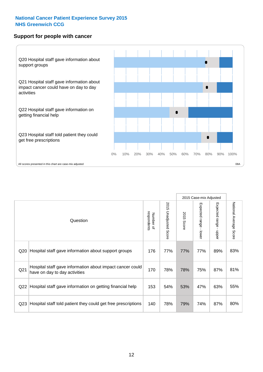#### **Support for people with cancer**



|                 |                                                                                            |                          |                                 |               | 2015 Case-mix Adjusted  |                                         |                        |
|-----------------|--------------------------------------------------------------------------------------------|--------------------------|---------------------------------|---------------|-------------------------|-----------------------------------------|------------------------|
|                 | Question                                                                                   | respondents<br>Number of | 2015<br><b>Unadjusted Score</b> | 2015<br>Score | Expected range<br>lower | Expected range<br>$\mathbf{I}$<br>nbber | National Average Score |
| Q20             | Hospital staff gave information about support groups                                       | 176                      | 77%                             | 77%           | 77%                     | 89%                                     | 83%                    |
| Q <sub>21</sub> | Hospital staff gave information about impact cancer could<br>have on day to day activities | 170                      | 78%                             | 78%           | 75%                     | 87%                                     | 81%                    |
| Q22             | Hospital staff gave information on getting financial help                                  | 153                      | 54%                             | 53%           | 47%                     | 63%                                     | 55%                    |
| Q <sub>23</sub> | Hospital staff told patient they could get free prescriptions                              | 140                      | 78%                             | 79%           | 74%                     | 87%                                     | 80%                    |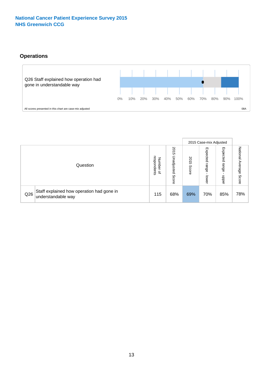### **Operations**



|     |                                                                 |                                              |                             |               | 2015 Case-mix Adjusted     |                            |                              |
|-----|-----------------------------------------------------------------|----------------------------------------------|-----------------------------|---------------|----------------------------|----------------------------|------------------------------|
|     | Question                                                        | respondents<br>Number<br>$\overline{\sigma}$ | 2015<br>Unadjusted<br>Score | 2015<br>Score | Expected<br>range<br>lower | Expected<br>range<br>doper | National<br>Average<br>Score |
| Q26 | Staff explained how operation had gone in<br>understandable way | 115                                          | 68%                         | 69%           | 70%                        | 85%                        | 78%                          |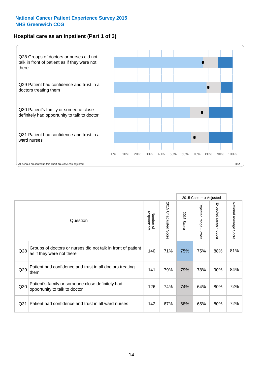#### **Hospital care as an inpatient (Part 1 of 3)**



All scores presented in this chart are case-mix adjusted 08A

|                 |                                                                                           |                          |                       |                      | 2015 Case-mix Adjusted                    |                                         |                        |
|-----------------|-------------------------------------------------------------------------------------------|--------------------------|-----------------------|----------------------|-------------------------------------------|-----------------------------------------|------------------------|
|                 | Question                                                                                  | respondents<br>Number of | 2015 Unadjusted Score | 2015<br><b>Score</b> | Expected range<br>$\blacksquare$<br>lower | Expected range<br>$\mathbf{I}$<br>nbber | National Average Score |
| Q28             | Groups of doctors or nurses did not talk in front of patient<br>as if they were not there | 140                      | 71%                   | 75%                  | 75%                                       | 88%                                     | 81%                    |
| Q29             | Patient had confidence and trust in all doctors treating<br>them                          | 141                      | 79%                   | 79%                  | 78%                                       | 90%                                     | 84%                    |
| Q30             | Patient's family or someone close definitely had<br>opportunity to talk to doctor         | 126                      | 74%                   | 74%                  | 64%                                       | 80%                                     | 72%                    |
| Q <sub>31</sub> | Patient had confidence and trust in all ward nurses                                       | 142                      | 67%                   | 68%                  | 65%                                       | 80%                                     | 72%                    |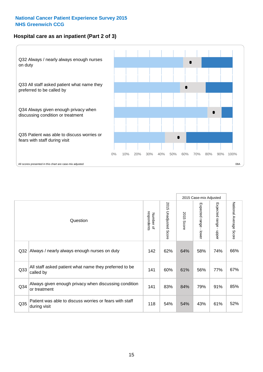#### **Hospital care as an inpatient (Part 2 of 3)**



|                 |                                                                         |                          |                       |               | 2015 Case-mix Adjusted |                                           |                        |
|-----------------|-------------------------------------------------------------------------|--------------------------|-----------------------|---------------|------------------------|-------------------------------------------|------------------------|
|                 | Question                                                                | respondents<br>Number of | 2015 Unadjusted Score | 2015<br>Score | Expected range - lower | Expected range<br>$\blacksquare$<br>nbber | National Average Score |
| Q <sub>32</sub> | Always / nearly always enough nurses on duty                            | 142                      | 62%                   | 64%           | 58%                    | 74%                                       | 66%                    |
| Q <sub>33</sub> | All staff asked patient what name they preferred to be<br>called by     | 141                      | 60%                   | 61%           | 56%                    | 77%                                       | 67%                    |
| Q34             | Always given enough privacy when discussing condition<br>or treatment   | 141                      | 83%                   | 84%           | 79%                    | 91%                                       | 85%                    |
| Q35             | Patient was able to discuss worries or fears with staff<br>during visit | 118                      | 54%                   | 54%           | 43%                    | 61%                                       | 52%                    |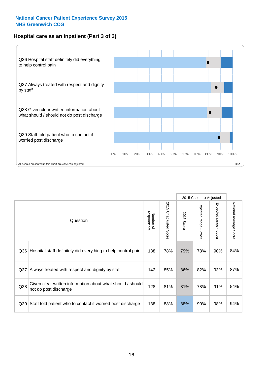#### **Hospital care as an inpatient (Part 3 of 3)**



|                 |                                                                                     |                          |                                 |                      | 2015 Case-mix Adjusted                    |                           |                        |
|-----------------|-------------------------------------------------------------------------------------|--------------------------|---------------------------------|----------------------|-------------------------------------------|---------------------------|------------------------|
|                 | Question                                                                            | respondents<br>Number of | 2015<br><b>Unadjusted Score</b> | 2015<br><b>Score</b> | Expected range<br>$\blacksquare$<br>lower | Expected range -<br>nbber | National Average Score |
| Q36             | Hospital staff definitely did everything to help control pain                       | 138                      | 78%                             | 79%                  | 78%                                       | 90%                       | 84%                    |
| Q <sub>37</sub> | Always treated with respect and dignity by staff                                    | 142                      | 85%                             | 86%                  | 82%                                       | 93%                       | 87%                    |
| Q38             | Given clear written information about what should / should<br>not do post discharge | 128                      | 81%                             | 81%                  | 78%                                       | 91%                       | 84%                    |
| Q39             | Staff told patient who to contact if worried post discharge                         | 138                      | 88%                             | 88%                  | 90%                                       | 98%                       | 94%                    |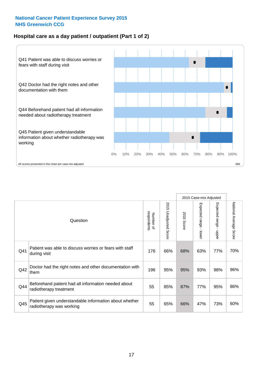#### **Hospital care as a day patient / outpatient (Part 1 of 2)**



|     |                                                                                    |                          |                          |               | 2015 Case-mix Adjusted                  |                                         |                        |
|-----|------------------------------------------------------------------------------------|--------------------------|--------------------------|---------------|-----------------------------------------|-----------------------------------------|------------------------|
|     | Question                                                                           | respondents<br>Number of | 2015<br>Unadjusted Score | 2015<br>Score | Expected range<br>$\mathbf{I}$<br>lower | Expected range<br>$\mathbf{I}$<br>nbber | National Average Score |
| Q41 | Patient was able to discuss worries or fears with staff<br>during visit            | 176                      | 66%                      | 68%           | 63%                                     | 77%                                     | 70%                    |
| Q42 | Doctor had the right notes and other documentation with<br>them                    | 196                      | 95%                      | 95%           | 93%                                     | 98%                                     | 96%                    |
| Q44 | Beforehand patient had all information needed about<br>radiotherapy treatment      | 55                       | 85%                      | 87%           | 77%                                     | 95%                                     | 86%                    |
| Q45 | Patient given understandable information about whether<br>radiotherapy was working | 55                       | 65%                      | 66%           | 47%                                     | 73%                                     | 60%                    |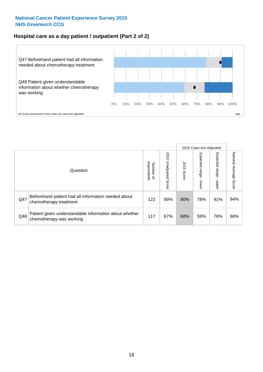#### **Hospital care as a day patient / outpatient (Part 2 of 2)**



|     |                                                                                    |                                       |                             |               | 2015 Case-mix Adjusted      |                         |                           |
|-----|------------------------------------------------------------------------------------|---------------------------------------|-----------------------------|---------------|-----------------------------|-------------------------|---------------------------|
|     | Question                                                                           | respondents<br>Number<br>$\mathbf{Q}$ | 2015<br>Unadjusted<br>Score | 2015<br>Score | Expected<br>Irange<br>lower | Expected range<br>doper | National Average<br>Score |
| Q47 | Beforehand patient had all information needed about<br>chemotherapy treatment      | 122                                   | 89%                         | 90%           | 78%                         | 91%                     | 84%                       |
| Q48 | Patient given understandable information about whether<br>chemotherapy was working | 117                                   | 67%                         | 68%           | 59%                         | 76%                     | 68%                       |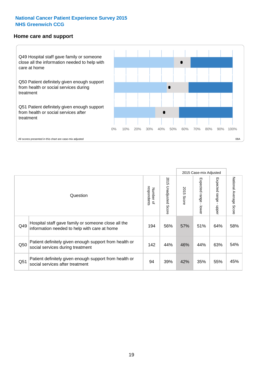#### **Home care and support**



2015 Case-mix Adjusted 2015 Unadjusted Score Expected range - upper National Average Score 2015 Unadjusted Score Expected range - lower National Average Score Expected range - lower Expected range - upper Number of<br>respondents 2015 Score respondents 2015 Score Number of Question Hospital staff gave family or someone close all the  $Q49$  information needed to help with care at home  $Q49$  |  $56\%$  |  $57\%$  |  $51\%$  |  $64\%$  |  $58\%$ Patient definitely given enough support from health or  $\frac{1450}{\sqrt{142}}$  Social services during treatment  $\frac{142}{\sqrt{142}}$   $\frac{44\%}{\sqrt{142}}$   $\frac{44\%}{\sqrt{143}}$   $\frac{44\%}{\sqrt{143}}$  63%  $\frac{54\%}{\sqrt{143}}$ Patient definitely given enough support from health or  $\frac{1}{251}$  social services after treatment  $\frac{1}{25\%}$  39% 42% 35% 35% 35% 45%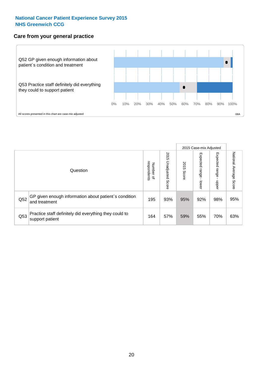#### **Care from your general practice**



|     |                                                                           |                                       |                             |               |                             | 2015 Case-mix Adjusted     |                           |
|-----|---------------------------------------------------------------------------|---------------------------------------|-----------------------------|---------------|-----------------------------|----------------------------|---------------------------|
|     | Question                                                                  | respondents<br>Number<br>$\mathbf{Q}$ | 2015<br>Unadjusted<br>Score | 2015<br>Score | Expected<br>Irange<br>lower | Expected<br>range<br>dpper | National Average<br>Score |
| Q52 | GP given enough information about patient's condition<br>and treatment    | 195                                   | 93%                         | 95%           | 92%                         | 98%                        | 95%                       |
| Q53 | Practice staff definitely did everything they could to<br>support patient | 164                                   | 57%                         | 59%           | 55%                         | 70%                        | 63%                       |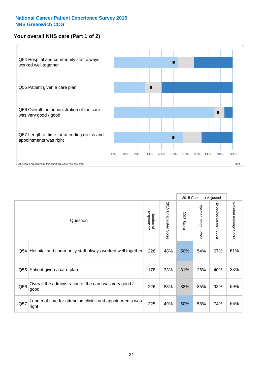#### **Your overall NHS care (Part 1 of 2)**



|     |                                                                    |                          | 2015 Case-mix Adjusted          |               |                                           |                                           |                        |
|-----|--------------------------------------------------------------------|--------------------------|---------------------------------|---------------|-------------------------------------------|-------------------------------------------|------------------------|
|     | Question                                                           | respondents<br>Number of | 2015<br><b>Unadjusted Score</b> | 2015<br>Score | Expected range<br>$\blacksquare$<br>lower | Expected range<br>$\blacksquare$<br>nbber | National Average Score |
| Q54 | Hospital and community staff always worked well together           | 226                      | 48%                             | 50%           | 54%                                       | 67%                                       | 61%                    |
| Q55 | Patient given a care plan                                          | 178                      | 33%                             | 31%           | 26%                                       | 40%                                       | 33%                    |
| Q56 | Overall the administration of the care was very good /<br>good     | 226                      | 88%                             | 88%           | 85%                                       | 93%                                       | 89%                    |
| Q57 | Length of time for attending clinics and appointments was<br>right | 225                      | 49%                             | 50%           | 58%                                       | 74%                                       | 66%                    |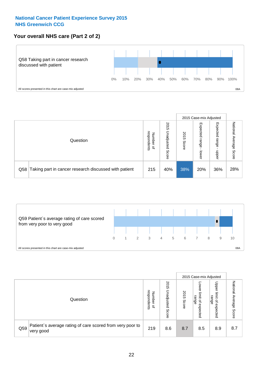#### **Your overall NHS care (Part 2 of 2)**



|     |                                                       |                                         |                             |               |                            | 2015 Case-mix Adjusted     |                        |
|-----|-------------------------------------------------------|-----------------------------------------|-----------------------------|---------------|----------------------------|----------------------------|------------------------|
|     | Question                                              | respondents<br>Number<br>$\overline{a}$ | 2015<br>Jnadjusted<br>Score | 2015<br>Score | Expected<br>range<br>lower | Expected<br>range<br>doper | National Average Score |
| Q58 | Taking part in cancer research discussed with patient | 215                                     | 40%                         | 38%           | 20%                        | 36%                        | 28%                    |



|     |                                                                        |                                              |                             |               |                                                           | 2015 Case-mix Adjusted                   |                              |
|-----|------------------------------------------------------------------------|----------------------------------------------|-----------------------------|---------------|-----------------------------------------------------------|------------------------------------------|------------------------------|
|     | Question                                                               | respondents<br>Number<br>$\overline{\sigma}$ | 2015<br>Jnadjusted<br>Score | 2015<br>Score | OWer<br>limit<br>range<br>$\overline{\sigma}$<br>expected | Upper<br>limit<br>range<br>õ<br>expected | National<br>Average<br>Score |
| Q59 | Patient's average rating of care scored from very poor to<br>very good | 219                                          | 8.6                         | 8.7           | 8.5                                                       | 8.9                                      | 8.7                          |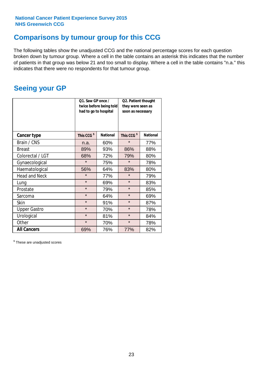### **Comparisons by tumour group for this CCG**

The following tables show the unadjusted CCG and the national percentage scores for each question broken down by tumour group. Where a cell in the table contains an asterisk this indicates that the number of patients in that group was below 21 and too small to display. Where a cell in the table contains "n.a." this indicates that there were no respondents for that tumour group.

### **Seeing your GP**

|                      | Q1. Saw GP once /<br>had to go to hospital | twice before being told | Q2. Patient thought<br>they were seen as<br>soon as necessary |                 |  |
|----------------------|--------------------------------------------|-------------------------|---------------------------------------------------------------|-----------------|--|
| <b>Cancer type</b>   | This CCG <sup>\$</sup>                     | <b>National</b>         | This CCG <sup>\$</sup>                                        | <b>National</b> |  |
| Brain / CNS          | n.a.                                       | 60%                     | $\star$                                                       | 77%             |  |
| <b>Breast</b>        | 89%                                        | 93%                     | 86%                                                           | 88%             |  |
| Colorectal / LGT     | 68%                                        | 72%                     | 79%                                                           | 80%             |  |
| Gynaecological       | $\star$                                    | 75%                     | $\star$                                                       | 78%             |  |
| Haematological       | 56%                                        | 64%                     | 83%                                                           | 80%             |  |
| <b>Head and Neck</b> | $\star$                                    | 77%                     | $\star$                                                       | 79%             |  |
| Lung                 | $\star$                                    | 69%                     | $\star$                                                       | 83%             |  |
| Prostate             | $\star$                                    | 79%                     | $\star$                                                       | 85%             |  |
| Sarcoma              | $\star$                                    | 64%                     | $\star$                                                       | 69%             |  |
| Skin                 | $\star$                                    | 91%                     | $\star$                                                       | 87%             |  |
| <b>Upper Gastro</b>  | $\star$                                    | 70%                     | $\star$                                                       | 78%             |  |
| Urological           | $\star$                                    | 81%                     | $\star$                                                       | 84%             |  |
| Other                | $\star$                                    | 70%                     | $\star$                                                       | 78%             |  |
| <b>All Cancers</b>   | 69%                                        | 76%                     | 77%                                                           | 82%             |  |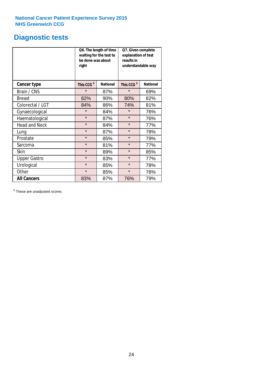# **Diagnostic tests**

|                      | be done was about<br>right | Q6. The length of time<br>waiting for the test to | Q7. Given complete<br>explanation of test<br>results in<br>understandable way |                 |  |
|----------------------|----------------------------|---------------------------------------------------|-------------------------------------------------------------------------------|-----------------|--|
| <b>Cancer type</b>   | This CCG <sup>\$</sup>     | <b>National</b>                                   | This CCG <sup>\$</sup>                                                        | <b>National</b> |  |
| Brain / CNS          | $\star$                    | 87%                                               | $\star$                                                                       | 69%             |  |
| <b>Breast</b>        | 82%                        | 90%                                               | 80%                                                                           | 82%             |  |
| Colorectal / LGT     | 84%                        | 86%                                               | 74%                                                                           | 81%             |  |
| Gynaecological       | $\star$                    | 84%                                               | $\star$                                                                       | 76%             |  |
| Haematological       | $\star$                    | 87%                                               | $\star$                                                                       | 76%             |  |
| <b>Head and Neck</b> | $\star$                    | 84%                                               | $\star$                                                                       | 77%             |  |
| Lung                 | $\star$                    | 87%                                               | $\star$                                                                       | 78%             |  |
| Prostate             | $\star$                    | 85%                                               | $\star$                                                                       | 79%             |  |
| Sarcoma              | $\star$                    | 81%                                               | $\star$                                                                       | 77%             |  |
| <b>Skin</b>          | $\star$                    | 89%                                               | $\star$                                                                       | 85%             |  |
| <b>Upper Gastro</b>  | $\star$                    | 83%                                               | $\star$                                                                       | 77%             |  |
| Urological           | $\star$                    | 85%                                               | $\star$                                                                       | 78%             |  |
| Other                | $\star$                    | 85%                                               | $\star$                                                                       | 76%             |  |
| <b>All Cancers</b>   | 83%                        | 87%                                               | 76%                                                                           | 79%             |  |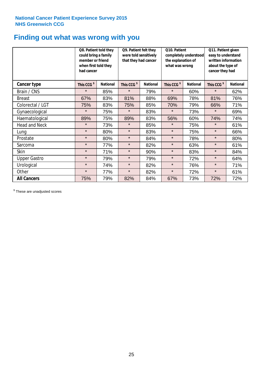### **Finding out what was wrong with you**

|                      | Q8. Patient told they<br>could bring a family<br>member or friend<br>when first told they<br>had cancer |                 | Q9. Patient felt they<br>were told sensitively<br>that they had cancer |                 | Q10. Patient<br>completely understood<br>the explanation of<br>what was wrong |                 | Q11. Patient given<br>easy to understand<br>written information<br>about the type of<br>cancer they had |                 |
|----------------------|---------------------------------------------------------------------------------------------------------|-----------------|------------------------------------------------------------------------|-----------------|-------------------------------------------------------------------------------|-----------------|---------------------------------------------------------------------------------------------------------|-----------------|
| Cancer type          | This CCG <sup>\$</sup>                                                                                  | <b>National</b> | This CCG <sup>\$</sup>                                                 | <b>National</b> | This CCG <sup>\$</sup>                                                        | <b>National</b> | This CCG <sup>\$</sup>                                                                                  | <b>National</b> |
| Brain / CNS          | $\star$                                                                                                 | 85%             | $\star$                                                                | 79%             | $\star$                                                                       | 60%             | $\star$                                                                                                 | 62%             |
| <b>Breast</b>        | 67%                                                                                                     | 83%             | 81%                                                                    | 88%             | 69%                                                                           | 78%             | 81%                                                                                                     | 76%             |
| Colorectal / LGT     | 75%                                                                                                     | 83%             | 75%                                                                    | 85%             | 70%                                                                           | 79%             | 66%                                                                                                     | 71%             |
| Gynaecological       | $\star$                                                                                                 | 75%             | $\star$                                                                | 83%             | $\star$                                                                       | 73%             | $\star$                                                                                                 | 69%             |
| Haematological       | 89%                                                                                                     | 75%             | 89%                                                                    | 83%             | 56%                                                                           | 60%             | 74%                                                                                                     | 74%             |
| <b>Head and Neck</b> | $\star$                                                                                                 | 73%             | $\star$                                                                | 85%             | $\star$                                                                       | 75%             | $\star$                                                                                                 | 61%             |
| Lung                 | $\star$                                                                                                 | 80%             | $\star$                                                                | 83%             | $\star$                                                                       | 75%             | $\star$                                                                                                 | 66%             |
| Prostate             | $\star$                                                                                                 | 80%             | $\star$                                                                | 84%             | $\star$                                                                       | 78%             | $\star$                                                                                                 | 80%             |
| Sarcoma              | $\star$                                                                                                 | 77%             | $\star$                                                                | 82%             | $\star$                                                                       | 63%             | $\star$                                                                                                 | 61%             |
| Skin                 | $\star$                                                                                                 | 71%             | $\star$                                                                | 90%             | $\star$                                                                       | 83%             | $\star$                                                                                                 | 84%             |
| <b>Upper Gastro</b>  | $\star$                                                                                                 | 79%             | $\star$                                                                | 79%             | $\star$                                                                       | 72%             | $\star$                                                                                                 | 64%             |
| Urological           | $\star$                                                                                                 | 74%             | $\star$                                                                | 82%             | $\star$                                                                       | 76%             | $\star$                                                                                                 | 71%             |
| Other                | $\star$                                                                                                 | 77%             | $\star$                                                                | 82%             | $\star$                                                                       | 72%             | $\star$                                                                                                 | 61%             |
| <b>All Cancers</b>   | 75%                                                                                                     | 79%             | 82%                                                                    | 84%             | 67%                                                                           | 73%             | 72%                                                                                                     | 72%             |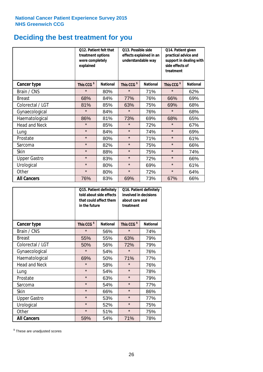# **Deciding the best treatment for you**

|                      | <b>O12. Patient felt that</b><br>treatment options<br>were completely<br>explained |                 | O13. Possible side<br>understandable way  | effects explained in an | Q14. Patient given<br>practical advice and<br>support in dealing with<br>side effects of<br>treatment |                 |  |
|----------------------|------------------------------------------------------------------------------------|-----------------|-------------------------------------------|-------------------------|-------------------------------------------------------------------------------------------------------|-----------------|--|
| <b>Cancer type</b>   | This CCG <sup>\$</sup>                                                             | <b>National</b> | This CCG <sup>\$</sup><br><b>National</b> |                         | This CCG <sup>\$</sup>                                                                                | <b>National</b> |  |
| Brain / CNS          | $\star$                                                                            | 80%             | $\star$                                   | 71%                     | $\star$                                                                                               | 62%             |  |
| <b>Breast</b>        | 68%                                                                                | 84%             | 77%                                       | 76%                     | 66%                                                                                                   | 69%             |  |
| Colorectal / LGT     | 81%                                                                                | 85%             | 63%                                       | 75%                     | 69%                                                                                                   | 68%             |  |
| Gynaecological       | $\star$                                                                            | 84%             | $\star$                                   | 76%                     | $\star$                                                                                               | 68%             |  |
| Haematological       | 86%                                                                                | 81%             | 73%                                       | 69%                     | 68%                                                                                                   | 65%             |  |
| <b>Head and Neck</b> | $\star$                                                                            | 85%             | $\star$                                   | 72%                     | $\star$                                                                                               | 67%             |  |
| Lung                 | $\star$                                                                            | 84%             | $\star$                                   | 74%                     | $\star$                                                                                               | 69%             |  |
| Prostate             | $\star$                                                                            | 80%             | $\star$                                   | 71%                     | $\star$                                                                                               | 61%             |  |
| Sarcoma              | $\star$                                                                            | 82%             | $\star$                                   | 75%                     | $\star$                                                                                               | 66%             |  |
| Skin                 | $\star$                                                                            | 88%             | $\star$                                   | 75%                     | $\star$                                                                                               | 74%             |  |
| <b>Upper Gastro</b>  | $\star$                                                                            | 83%             | $\star$                                   | 72%                     | $\star$                                                                                               | 66%             |  |
| Urological           | $\star$                                                                            | 80%             | $\star$                                   | 69%                     | $\star$                                                                                               | 61%             |  |
| Other                | $\star$                                                                            | 80%             | $\star$                                   | 72%                     | $\star$                                                                                               | 64%             |  |
| <b>All Cancers</b>   | 76%                                                                                | 83%             | 69%                                       | 73%                     | 67%                                                                                                   | 66%             |  |

|                      | in the future          | Q15. Patient definitely<br>told about side effects<br>that could affect them | Q16. Patient definitely<br>involved in decisions<br>about care and<br>treatment |                 |  |
|----------------------|------------------------|------------------------------------------------------------------------------|---------------------------------------------------------------------------------|-----------------|--|
| <b>Cancer type</b>   | This CCG <sup>\$</sup> | <b>National</b>                                                              | This CCG <sup>\$</sup>                                                          | <b>National</b> |  |
| Brain / CNS          | $\star$                | 56%                                                                          | $\star$                                                                         | 74%             |  |
| <b>Breast</b>        | 55%                    | 55%                                                                          | 63%                                                                             | 79%             |  |
| Colorectal / LGT     | 50%                    | 56%                                                                          | 72%                                                                             | 79%             |  |
| Gynaecological       | $\star$<br>54%         |                                                                              | $\star$                                                                         | 76%             |  |
| Haematological       | 50%<br>69%             |                                                                              | 71%                                                                             | 77%             |  |
| <b>Head and Neck</b> | $\star$                | 58%                                                                          | $\star$                                                                         | 76%             |  |
| Lung                 | $\star$                | 54%                                                                          | $\star$                                                                         | 78%             |  |
| Prostate             | $\star$                | 63%                                                                          | $\star$                                                                         | 79%             |  |
| Sarcoma              | $\star$                | 54%                                                                          | $\star$                                                                         | 77%             |  |
| Skin                 | $\star$                | 66%                                                                          | $\star$                                                                         | 86%             |  |
| <b>Upper Gastro</b>  | $\star$                | 53%                                                                          | $\star$                                                                         | 77%             |  |
| Urological           | $\star$                | 52%                                                                          | $\star$                                                                         | 75%             |  |
| Other                | $\star$                | 51%                                                                          | $\star$                                                                         | 75%             |  |
| <b>All Cancers</b>   | 59%                    | 54%                                                                          | 71%                                                                             | 78%             |  |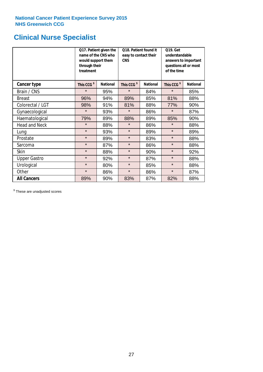### **Clinical Nurse Specialist**

|                      | would support them<br>through their<br>treatment | Q17. Patient given the<br>name of the CNS who | Q18. Patient found it<br>easy to contact their<br><b>CNS</b> |                 | <b>Q19. Get</b><br>understandable<br>answers to important<br>questions all or most<br>of the time |                 |  |
|----------------------|--------------------------------------------------|-----------------------------------------------|--------------------------------------------------------------|-----------------|---------------------------------------------------------------------------------------------------|-----------------|--|
| <b>Cancer type</b>   | This CCG <sup>\$</sup>                           | <b>National</b>                               | This CCG <sup>\$</sup>                                       | <b>National</b> | This CCG <sup>\$</sup>                                                                            | <b>National</b> |  |
| Brain / CNS          | $\star$                                          | 95%                                           | $\star$                                                      | 84%             | $\star$                                                                                           | 85%             |  |
| <b>Breast</b>        | 96%                                              | 94%                                           | 89%                                                          | 85%             | 81%                                                                                               | 88%             |  |
| Colorectal / LGT     | 98%                                              | 91%                                           | 81%                                                          | 88%             | 77%                                                                                               | 90%             |  |
| Gynaecological       | $\star$                                          | 93%                                           | $\star$                                                      | 86%             | $\star$                                                                                           | 87%             |  |
| Haematological       | 79%                                              | 89%                                           | 88%                                                          | 89%             | 85%                                                                                               | 90%             |  |
| <b>Head and Neck</b> | $\star$                                          | 88%                                           | $\star$                                                      | 86%             | $\star$                                                                                           | 88%             |  |
| Lung                 | $\star$                                          | 93%                                           | $\star$                                                      | 89%             | $\star$                                                                                           | 89%             |  |
| Prostate             | $\star$                                          | 89%                                           | $\star$                                                      | 83%             | $\star$                                                                                           | 88%             |  |
| Sarcoma              | $\star$                                          | 87%                                           | $\star$                                                      | 86%             | $\star$                                                                                           | 88%             |  |
| Skin                 | $\star$                                          | 88%                                           | $\star$                                                      | 90%             | $\star$                                                                                           | 92%             |  |
| <b>Upper Gastro</b>  | $\star$                                          | 92%                                           | $\star$                                                      | 87%             | $\star$                                                                                           | 88%             |  |
| Urological           | $\star$                                          | 80%                                           | $\star$                                                      | 85%             | $\star$                                                                                           | 88%             |  |
| Other                | $\star$                                          | 86%                                           | $\star$                                                      | 86%             | $\star$                                                                                           | 87%             |  |
| <b>All Cancers</b>   | 89%                                              | 90%                                           | 83%                                                          | 87%             | 82%                                                                                               | 88%             |  |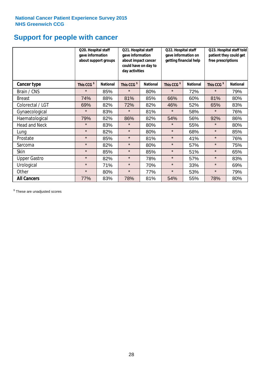### **Support for people with cancer**

|                      |                        | Q20. Hospital staff<br>gave information<br>about support groups<br>day activities |                        | Q21. Hospital staff<br>gave information<br>about impact cancer<br>could have on day to | Q22. Hospital staff<br>gave information on<br>getting financial help |                 | Q23. Hospital staff told<br>patient they could get<br>free prescriptions |                 |
|----------------------|------------------------|-----------------------------------------------------------------------------------|------------------------|----------------------------------------------------------------------------------------|----------------------------------------------------------------------|-----------------|--------------------------------------------------------------------------|-----------------|
| Cancer type          | This CCG <sup>\$</sup> | <b>National</b>                                                                   | This CCG <sup>\$</sup> | <b>National</b>                                                                        | This CCG <sup>\$</sup>                                               | <b>National</b> | This CCG <sup>\$</sup>                                                   | <b>National</b> |
| Brain / CNS          | $\star$                | 85%                                                                               | $\star$                | 80%                                                                                    | $\star$                                                              | 72%             | $\star$                                                                  | 79%             |
| <b>Breast</b>        | 74%                    | 88%                                                                               | 81%                    | 85%                                                                                    | 66%                                                                  | 60%             | 81%                                                                      | 80%             |
| Colorectal / LGT     | 69%                    | 82%                                                                               | 72%                    | 82%                                                                                    | 46%                                                                  | 52%             | 65%                                                                      | 83%             |
| Gynaecological       | $\star$                | 83%                                                                               | $\star$                | 81%                                                                                    | $\star$                                                              | 58%             | $\star$                                                                  | 76%             |
| Haematological       | 79%                    | 82%                                                                               | 86%                    | 82%                                                                                    | 54%                                                                  | 56%             | 92%                                                                      | 86%             |
| <b>Head and Neck</b> | $\star$                | 83%                                                                               | $\star$                | 80%                                                                                    | $\star$                                                              | 55%             | $\star$                                                                  | 80%             |
| Lung                 | $\star$                | 82%                                                                               | $\star$                | 80%                                                                                    | $\star$                                                              | 68%             | $\star$                                                                  | 85%             |
| Prostate             | $\star$                | 85%                                                                               | $\star$                | 81%                                                                                    | $\star$                                                              | 41%             | $\star$                                                                  | 76%             |
| Sarcoma              | $\star$                | 82%                                                                               | $\star$                | 80%                                                                                    | $\star$                                                              | 57%             | $\star$                                                                  | 75%             |
| Skin                 | $\star$                | 85%                                                                               | $\star$                | 85%                                                                                    | $\star$                                                              | 51%             | $\star$                                                                  | 65%             |
| <b>Upper Gastro</b>  | $\star$                | 82%                                                                               | $\star$                | 78%                                                                                    | $\star$                                                              | 57%             | $\star$                                                                  | 83%             |
| Urological           | $\star$                | 71%                                                                               | $\star$                | 70%                                                                                    | $\star$                                                              | 33%             | $\star$                                                                  | 69%             |
| Other                | $\star$                | 80%                                                                               | $\star$                | 77%                                                                                    | $\star$                                                              | 53%             | $\star$                                                                  | 79%             |
| <b>All Cancers</b>   | 77%                    | 83%                                                                               | 78%                    | 81%                                                                                    | 54%                                                                  | 55%             | 78%                                                                      | 80%             |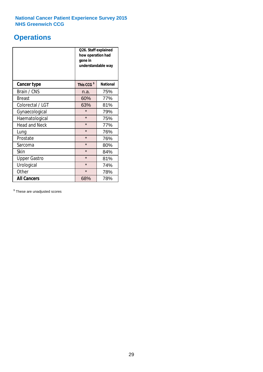### **Operations**

|                      | Q26. Staff explained<br>how operation had<br>gone in<br>understandable way |                 |  |  |  |
|----------------------|----------------------------------------------------------------------------|-----------------|--|--|--|
| <b>Cancer type</b>   | This CCG <sup>\$</sup>                                                     | <b>National</b> |  |  |  |
| Brain / CNS          | n.a.                                                                       | 75%             |  |  |  |
| <b>Breast</b>        | 60%                                                                        | 77%             |  |  |  |
| Colorectal / LGT     | 63%                                                                        | 81%             |  |  |  |
| Gynaecological       | $\star$                                                                    | 79%             |  |  |  |
| Haematological       | $\star$                                                                    | 75%             |  |  |  |
| <b>Head and Neck</b> | $\star$                                                                    | 77%             |  |  |  |
| Lung                 | $\star$                                                                    | 76%             |  |  |  |
| Prostate             | $\star$                                                                    | 76%             |  |  |  |
| Sarcoma              | $\star$                                                                    | 80%             |  |  |  |
| Skin                 | $\star$                                                                    | 84%             |  |  |  |
| <b>Upper Gastro</b>  | $\star$                                                                    | 81%             |  |  |  |
| Urological           | $\star$                                                                    | 74%             |  |  |  |
| Other                | $\star$                                                                    | 78%             |  |  |  |
| <b>All Cancers</b>   | 68%                                                                        | 78%             |  |  |  |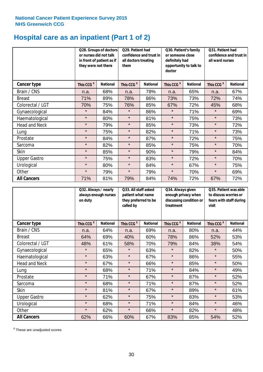### **Hospital care as an inpatient (Part 1 of 2)**

|                      |                        | Q28. Groups of doctors<br>Q29. Patient had<br>or nurses did not talk<br>confidence and trust in<br>in front of patient as if<br>all doctors treating<br>they were not there<br>them |                        |                 | Q30. Patient's family<br>or someone close<br>definitely had<br>doctor | opportunity to talk to | Q31. Patient had<br>confidence and trust in I<br>all ward nurses |                 |
|----------------------|------------------------|-------------------------------------------------------------------------------------------------------------------------------------------------------------------------------------|------------------------|-----------------|-----------------------------------------------------------------------|------------------------|------------------------------------------------------------------|-----------------|
| Cancer type          | This CCG <sup>\$</sup> | <b>National</b>                                                                                                                                                                     | This CCG <sup>\$</sup> | <b>National</b> | This CCG <sup>\$</sup>                                                | <b>National</b>        | This CCG <sup>\$</sup>                                           | <b>National</b> |
| Brain / CNS          | n.a.                   | 68%                                                                                                                                                                                 | n.a.                   | 78%             | n.a.                                                                  | 65%                    | n.a.                                                             | 67%             |
| <b>Breast</b>        | 71%                    | 89%                                                                                                                                                                                 | 78%                    | 86%             | 73%                                                                   | 73%                    | 72%                                                              | 74%             |
| Colorectal / LGT     | 70%                    | 75%                                                                                                                                                                                 | 76%                    | 85%             | 67%                                                                   | 72%                    | 45%                                                              | 68%             |
| Gynaecological       | $\star$                | 84%                                                                                                                                                                                 | $\star$                | 86%             | $\star$                                                               | 71%                    | $\star$                                                          | 69%             |
| Haematological       | $\star$                | 80%                                                                                                                                                                                 | $\star$                | 81%             | $\star$                                                               | 75%                    | $\star$                                                          | 73%             |
| <b>Head and Neck</b> | $\star$                | 79%                                                                                                                                                                                 | $\star$                | 85%             | $\star$                                                               | 73%                    | $\star$                                                          | 72%             |
| Lung                 | $\star$                | 75%                                                                                                                                                                                 | $\star$                | 82%             | $\star$                                                               | 71%                    | $\star$                                                          | 73%             |
| Prostate             | $\star$                | 84%                                                                                                                                                                                 | $\star$                | 87%             | $\star$                                                               | 72%                    | $\star$                                                          | 75%             |
| Sarcoma              | $\star$                | 82%                                                                                                                                                                                 | $\star$                | 85%             | $\star$                                                               | 75%                    | $\star$                                                          | 70%             |
| Skin                 | $\star$                | 85%                                                                                                                                                                                 | $\star$                | 90%             | $\star$                                                               | 79%                    | $\star$                                                          | 84%             |
| <b>Upper Gastro</b>  | $\star$                | 75%                                                                                                                                                                                 | $\star$                | 83%             | $\star$                                                               | 72%                    | $\star$                                                          | 70%             |
| Urological           | $\star$                | 80%                                                                                                                                                                                 | $\star$                | 84%             | $\star$                                                               | 67%                    | $\star$                                                          | 75%             |
| Other                | $\star$                | 79%                                                                                                                                                                                 | $\star$                | 79%             | $\star$                                                               | 70%                    | $\star$                                                          | 69%             |
| <b>All Cancers</b>   | 71%                    | 81%                                                                                                                                                                                 | 79%                    | 84%             | 74%                                                                   | 72%                    | 67%                                                              | 72%             |

|                      | Q32. Always / nearly<br>always enough nurses<br>on duty |                 | Q33. All staff asked<br>patient what name<br>they preferred to be<br>called by |                 | Q34. Always given<br>enough privacy when<br>discussing condition or<br>treatment |                 | Q35. Patient was able<br>to discuss worries or<br>fears with staff during<br>visit |                 |
|----------------------|---------------------------------------------------------|-----------------|--------------------------------------------------------------------------------|-----------------|----------------------------------------------------------------------------------|-----------------|------------------------------------------------------------------------------------|-----------------|
| <b>Cancer type</b>   | This CCG <sup>\$</sup>                                  | <b>National</b> | This CCG <sup>\$</sup>                                                         | <b>National</b> | This CCG <sup>\$</sup>                                                           | <b>National</b> | This CCG <sup>\$</sup>                                                             | <b>National</b> |
| Brain / CNS          | n.a.                                                    | 64%             | n.a.                                                                           | 69%             | n.a.                                                                             | 80%             | n.a.                                                                               | 44%             |
| <b>Breast</b>        | 64%                                                     | 69%             | 40%                                                                            | 60%             | 78%                                                                              | 86%             | 52%                                                                                | 53%             |
| Colorectal / LGT     | 48%                                                     | 61%             | 58%                                                                            | 70%             | 79%                                                                              | 84%             | 38%                                                                                | 54%             |
| Gynaecological       | $\star$                                                 | 65%             | $\star$                                                                        | 63%             | $\star$                                                                          | 82%             | $\star$                                                                            | 50%             |
| Haematological       | $\star$                                                 | 63%             | $\star$                                                                        | 67%             | $\star$                                                                          | 86%             | $\star$                                                                            | 55%             |
| <b>Head and Neck</b> | $\star$                                                 | 67%             | $\star$                                                                        | 66%             | $\star$                                                                          | 85%             | $\star$                                                                            | 50%             |
| Lung                 | $\star$                                                 | 68%             | $\star$                                                                        | 71%             | $\star$                                                                          | 84%             | $\star$                                                                            | 49%             |
| Prostate             | $\star$                                                 | 71%             | $\star$                                                                        | 67%             | $\star$                                                                          | 87%             | $\star$                                                                            | 52%             |
| Sarcoma              | $\star$                                                 | 68%             | $\star$                                                                        | 71%             | $\star$                                                                          | 87%             | $\star$                                                                            | 52%             |
| Skin                 | $\star$                                                 | 81%             | $\star$                                                                        | 67%             | $\star$                                                                          | 89%             | $\star$                                                                            | 61%             |
| <b>Upper Gastro</b>  | $\star$                                                 | 62%             | $\star$                                                                        | 75%             | $\star$                                                                          | 83%             | $\star$                                                                            | 53%             |
| Urological           | $\star$                                                 | 68%             | $\star$                                                                        | 71%             | $\star$                                                                          | 84%             | $\star$                                                                            | 46%             |
| Other                | $\star$                                                 | 62%             | $\star$                                                                        | 66%             | $\star$                                                                          | 82%             | $\star$                                                                            | 48%             |
| <b>All Cancers</b>   | 62%                                                     | 66%             | 60%                                                                            | 67%             | 83%                                                                              | 85%             | 54%                                                                                | 52%             |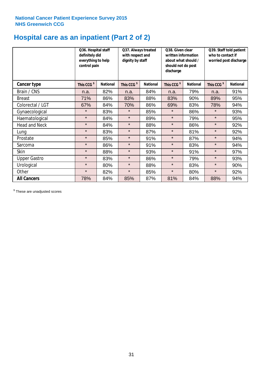### **Hospital care as an inpatient (Part 2 of 2)**

|                      | Q36. Hospital staff<br>definitely did<br>everything to help<br>control pain |                 | Q37. Always treated<br>with respect and<br>dignity by staff |                 | Q38. Given clear<br>written information<br>about what should /<br>should not do post<br>discharge |                 | Q39. Staff told patient<br>who to contact if<br>worried post discharge |                 |
|----------------------|-----------------------------------------------------------------------------|-----------------|-------------------------------------------------------------|-----------------|---------------------------------------------------------------------------------------------------|-----------------|------------------------------------------------------------------------|-----------------|
| Cancer type          | This CCG <sup>\$</sup>                                                      | <b>National</b> | This CCG <sup>\$</sup>                                      | <b>National</b> | This CCG <sup>\$</sup>                                                                            | <b>National</b> | This CCG <sup>\$</sup>                                                 | <b>National</b> |
| Brain / CNS          | n.a.                                                                        | 82%             | n.a.                                                        | 84%             | n.a.                                                                                              | 79%             | n.a.                                                                   | 91%             |
| <b>Breast</b>        | 71%                                                                         | 86%             | 83%                                                         | 88%             | 83%                                                                                               | 90%             | 89%                                                                    | 95%             |
| Colorectal / LGT     | 67%                                                                         | 84%             | 70%                                                         | 86%             | 69%                                                                                               | 83%             | 78%                                                                    | 94%             |
| Gynaecological       | $\star$                                                                     | 83%             | $\star$                                                     | 85%             | $\star$                                                                                           | 86%             | $\star$                                                                | 93%             |
| Haematological       | $\star$                                                                     | 84%             | $\star$                                                     | 89%             | $\star$                                                                                           | 79%             | $\star$                                                                | 95%             |
| <b>Head and Neck</b> | $\star$                                                                     | 84%             | $\star$                                                     | 88%             | $\star$                                                                                           | 86%             | $\star$                                                                | 92%             |
| Lung                 | $\star$                                                                     | 83%             | $\star$                                                     | 87%             | $\star$                                                                                           | 81%             | $\star$                                                                | 92%             |
| Prostate             | $\star$                                                                     | 85%             | $\star$                                                     | 91%             | $\star$                                                                                           | 87%             | $\star$                                                                | 94%             |
| Sarcoma              | $\star$                                                                     | 86%             | $\star$                                                     | 91%             | $\star$                                                                                           | 83%             | $\star$                                                                | 94%             |
| Skin                 | $\star$                                                                     | 88%             | $\star$                                                     | 93%             | $\star$                                                                                           | 91%             | $\star$                                                                | 97%             |
| <b>Upper Gastro</b>  | $\star$                                                                     | 83%             | $\star$                                                     | 86%             | $\star$                                                                                           | 79%             | $\star$                                                                | 93%             |
| Urological           | $\star$                                                                     | 80%             | $\star$                                                     | 88%             | $\star$                                                                                           | 83%             | $\star$                                                                | 90%             |
| Other                | $\star$                                                                     | 82%             | $\star$                                                     | 85%             | $\star$                                                                                           | 80%             | $\star$                                                                | 92%             |
| <b>All Cancers</b>   | 78%                                                                         | 84%             | 85%                                                         | 87%             | 81%                                                                                               | 84%             | 88%                                                                    | 94%             |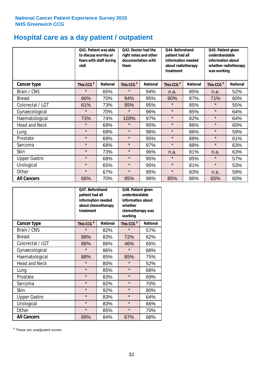# **Hospital care as a day patient / outpatient**

|                      | to discuss worries or<br>visit | Q41. Patient was able<br>fears with staff during | Q42. Doctor had the<br>right notes and other<br>documentation with<br>them |                 | Q44. Beforehand<br>patient had all<br>information needed<br>about radiotherapy<br>treatment |                 | Q45. Patient given<br>understandable<br>information about<br>whether radiotherapy<br>was working |                 |
|----------------------|--------------------------------|--------------------------------------------------|----------------------------------------------------------------------------|-----------------|---------------------------------------------------------------------------------------------|-----------------|--------------------------------------------------------------------------------------------------|-----------------|
| <b>Cancer type</b>   | This CCG <sup>\$</sup>         | <b>National</b>                                  | This CCG <sup>\$</sup>                                                     | <b>National</b> | This CCG <sup>\$</sup>                                                                      | <b>National</b> | This CCG <sup>\$</sup>                                                                           | <b>National</b> |
| Brain / CNS          | $\star$                        | 65%                                              | $\star$                                                                    | 94%             | n.a.                                                                                        | 85%             | n.a.                                                                                             | 52%             |
| <b>Breast</b>        | 66%                            | 70%                                              | 94%                                                                        | 95%             | 90%                                                                                         | 87%             | 71%                                                                                              | 60%             |
| Colorectal / LGT     | 61%                            | 73%                                              | 95%                                                                        | 95%             | $\star$                                                                                     | 85%             | $\star$                                                                                          | 55%             |
| Gynaecological       | $\star$                        | 70%                                              | $\star$                                                                    | 96%             | $\star$                                                                                     | 85%             | $\star$                                                                                          | 64%             |
| Haematological       | 73%                            | 74%                                              | 100%                                                                       | 97%             | $\star$                                                                                     | 82%             | $\star$                                                                                          | 64%             |
| <b>Head and Neck</b> | $\star$                        | 69%                                              | $\star$                                                                    | 95%             | $\star$                                                                                     | 86%             | $\star$                                                                                          | 60%             |
| Lung                 | $\star$                        | 69%                                              | $\star$                                                                    | 96%             | $\star$                                                                                     | 86%             | $\star$                                                                                          | 59%             |
| Prostate             | $\star$                        | 69%                                              | $\star$                                                                    | 95%             | $\star$                                                                                     | 88%             | $\star$                                                                                          | 61%             |
| Sarcoma              | $\star$                        | 68%                                              | $\star$                                                                    | 97%             | $\star$                                                                                     | 88%             | $\star$                                                                                          | 63%             |
| Skin                 | $\star$                        | 73%                                              | $\star$                                                                    | 96%             | n.a.                                                                                        | 81%             | n.a.                                                                                             | 63%             |
| <b>Upper Gastro</b>  | $\star$                        | 68%                                              | $\star$                                                                    | 95%             | $\star$                                                                                     | 85%             | $\star$                                                                                          | 57%             |
| Urological           | $\star$                        | 65%                                              | $\star$                                                                    | 95%             | $\star$                                                                                     | 81%             | $\star$                                                                                          | 53%             |
| Other                | $\star$                        | 67%                                              | $\star$                                                                    | 95%             | $\star$                                                                                     | 83%             | n.a.                                                                                             | 59%             |
| <b>All Cancers</b>   | 66%                            | 70%                                              | 95%                                                                        | 96%             | 85%                                                                                         | 86%             | 65%                                                                                              | 60%             |

|                      | O47. Beforehand<br>patient had all<br>information needed<br>treatment | about chemotherapy | Q48. Patient given<br>understandable<br>information about<br>whether<br>chemotherapy was<br>working |                 |  |
|----------------------|-----------------------------------------------------------------------|--------------------|-----------------------------------------------------------------------------------------------------|-----------------|--|
| <b>Cancer type</b>   | This CCG <sup>\$</sup>                                                | <b>National</b>    | This CCG <sup>\$</sup>                                                                              | <b>National</b> |  |
| Brain / CNS          | $\star$                                                               | 82%                | $\star$                                                                                             | 57%             |  |
| <b>Breast</b>        | 88%                                                                   | 83%                | 72%                                                                                                 | 62%             |  |
| Colorectal / LGT     | 88%                                                                   | 86%                | 46%                                                                                                 | 65%             |  |
| Gynaecological       | $\star$                                                               | 86%                | $\star$                                                                                             | 68%             |  |
| Haematological       | 88%                                                                   | 85%                |                                                                                                     | 75%             |  |
| <b>Head and Neck</b> | $\star$                                                               | 80%                | $\star$                                                                                             | 52%             |  |
| Lung                 | $\star$                                                               | 85%                | $\star$                                                                                             | 68%             |  |
| Prostate             | $\star$                                                               | 83%                | $\star$                                                                                             | 69%             |  |
| Sarcoma              | $\star$                                                               | 82%                | $\star$                                                                                             | 70%             |  |
| Skin                 | $\star$                                                               | 92%                | $\star$                                                                                             | 80%             |  |
| <b>Upper Gastro</b>  | $\star$                                                               | 83%                | $\star$                                                                                             | 64%             |  |
| Urological           | $\star$                                                               | 83%                | $\star$                                                                                             | 66%             |  |
| Other                | $\star$                                                               | 85%                | $\star$                                                                                             | 70%             |  |
| <b>All Cancers</b>   | 89%                                                                   | 84%                | 67%                                                                                                 | 68%             |  |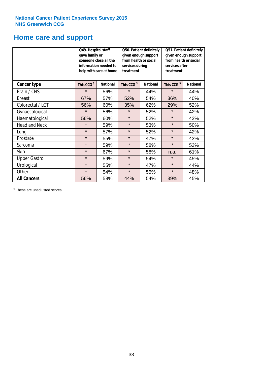# **Home care and support**

|                      | Q49. Hospital staff<br>gave family or                                                  | someone close all the<br>information needed to<br>help with care at home | Q50. Patient definitely<br>given enough support<br>from health or social<br>services during<br>treatment |                        | Q51. Patient definitely<br>given enough support<br>from health or social<br>services after<br>treatment |     |
|----------------------|----------------------------------------------------------------------------------------|--------------------------------------------------------------------------|----------------------------------------------------------------------------------------------------------|------------------------|---------------------------------------------------------------------------------------------------------|-----|
| <b>Cancer type</b>   | This CCG <sup>\$</sup><br><b>National</b><br>This CCG <sup>\$</sup><br><b>National</b> |                                                                          |                                                                                                          | This CCG <sup>\$</sup> | <b>National</b>                                                                                         |     |
| Brain / CNS          | $\star$                                                                                | 56%                                                                      | $\star$                                                                                                  | 44%                    | $\star$                                                                                                 | 44% |
| <b>Breast</b>        | 67%                                                                                    | 57%                                                                      | 52%                                                                                                      | 54%                    | 36%                                                                                                     | 40% |
| Colorectal / LGT     | 56%                                                                                    | 60%                                                                      | 35%                                                                                                      | 62%                    | 29%                                                                                                     | 52% |
| Gynaecological       | $\star$                                                                                | 56%                                                                      | $\star$                                                                                                  | 52%                    | $\star$                                                                                                 | 42% |
| Haematological       | 56%                                                                                    | 60%                                                                      | $\star$                                                                                                  | 52%                    | $\star$                                                                                                 | 43% |
| <b>Head and Neck</b> | $\star$                                                                                | 59%                                                                      | $\star$                                                                                                  | 53%                    | $\star$                                                                                                 | 50% |
| Lung                 | $\star$                                                                                | 57%                                                                      | $\star$                                                                                                  | 52%                    | $\star$                                                                                                 | 42% |
| Prostate             | $\star$                                                                                | 55%                                                                      | $\star$                                                                                                  | 47%                    | $\star$                                                                                                 | 43% |
| Sarcoma              | $\star$                                                                                | 59%                                                                      | $\star$                                                                                                  | 58%                    | $\star$                                                                                                 | 53% |
| Skin                 | $\star$                                                                                | 67%                                                                      | $\star$                                                                                                  | 58%                    | n.a.                                                                                                    | 61% |
| <b>Upper Gastro</b>  | $\star$                                                                                | 59%                                                                      | $\star$                                                                                                  | 54%                    | $\star$                                                                                                 | 45% |
| Urological           | $\star$                                                                                | 55%                                                                      | $\star$                                                                                                  | 47%                    | $\star$                                                                                                 | 44% |
| Other                | $\star$                                                                                | 54%                                                                      | $\star$                                                                                                  | 55%                    | $\star$                                                                                                 | 48% |
| <b>All Cancers</b>   | 56%                                                                                    | 58%                                                                      | 44%                                                                                                      | 54%                    | 39%                                                                                                     | 45% |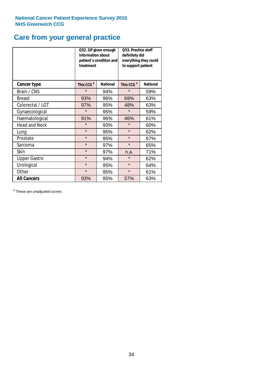### **Care from your general practice**

|                      | information about<br>treatment | Q52. GP given enough<br>patient's condition and | O53. Practice staff<br>definitely did<br>everything they could<br>to support patient |                 |  |
|----------------------|--------------------------------|-------------------------------------------------|--------------------------------------------------------------------------------------|-----------------|--|
| <b>Cancer type</b>   | This CCG <sup>\$</sup>         | <b>National</b>                                 | This CCG <sup>\$</sup>                                                               | <b>National</b> |  |
| Brain / CNS          | $\star$                        | 94%                                             | $\star$                                                                              | 59%             |  |
| <b>Breast</b>        | 93%                            | 96%                                             | 69%                                                                                  | 63%             |  |
| Colorectal / LGT     | 97%                            | 95%                                             | 48%                                                                                  | 63%             |  |
| Gynaecological       | $\star$                        | 95%                                             | $\star$                                                                              | 59%             |  |
| Haematological       | 91%                            | 96%                                             | 46%                                                                                  | 61%             |  |
| <b>Head and Neck</b> | $\star$                        | 93%                                             | $\star$                                                                              | 60%             |  |
| Lung                 | $\star$                        | 95%                                             | $\star$                                                                              | 62%             |  |
| Prostate             | $\star$                        | 95%                                             | $\star$                                                                              | 67%             |  |
| Sarcoma              | $\star$                        | 97%                                             | $\star$                                                                              | 65%             |  |
| Skin                 | $\star$                        | 97%                                             | n.a.                                                                                 | 71%             |  |
| <b>Upper Gastro</b>  | $\star$                        | 94%                                             | $\star$                                                                              | 62%             |  |
| Urological           | $\star$                        | 95%                                             | $\star$                                                                              | 64%             |  |
| Other                | $\star$                        | 95%                                             | $\star$                                                                              | 61%             |  |
| <b>All Cancers</b>   | 93%                            | 95%                                             | 57%                                                                                  | 63%             |  |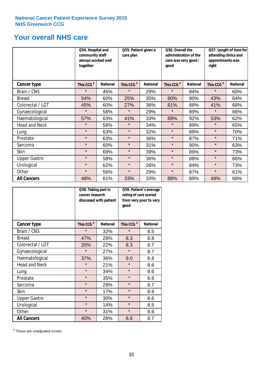### **Your overall NHS care**

|                      | Q54. Hospital and<br>community staff<br>always worked well<br>together |                 | Q55. Patient given a<br>care plan |                 | Q56. Overall the<br>administration of the<br>care was very good /<br>qood |                 | Q57. Length of time for<br>attending clinics and<br>appointments was<br>right |                 |
|----------------------|------------------------------------------------------------------------|-----------------|-----------------------------------|-----------------|---------------------------------------------------------------------------|-----------------|-------------------------------------------------------------------------------|-----------------|
| <b>Cancer type</b>   | This CCG <sup>\$</sup>                                                 | <b>National</b> | This CCG <sup>\$</sup>            | <b>National</b> | This CCG <sup>\$</sup>                                                    | <b>National</b> | This CCG <sup>\$</sup>                                                        | <b>National</b> |
| Brain / CNS          | $\star$                                                                | 45%             | $\star$                           | 29%             | $\star$                                                                   | 84%             | $\star$                                                                       | 60%             |
| <b>Breast</b>        | 54%                                                                    | 60%             | 25%                               | 35%             | 90%                                                                       | 90%             | 43%                                                                           | 64%             |
| Colorectal / LGT     | 45%                                                                    | 60%             | 27%                               | 36%             | 81%                                                                       | 88%             | 41%                                                                           | 68%             |
| Gynaecological       | $\star$                                                                | 58%             | $\star$                           | 29%             | $\star$                                                                   | 89%             | $\star$                                                                       | 66%             |
| Haematological       | 57%                                                                    | 63%             | 41%                               | 33%             | 89%                                                                       | 92%             | 53%                                                                           | 62%             |
| <b>Head and Neck</b> | $\star$                                                                | 58%             | $\star$                           | 34%             | $\star$                                                                   | 89%             | $\star$                                                                       | 65%             |
| Lung                 | $\star$                                                                | 63%             | $\star$                           | 32%             | $\star$                                                                   | 89%             | $\star$                                                                       | 70%             |
| Prostate             | $\star$                                                                | 63%             | $\star$                           | 36%             | $\star$                                                                   | 87%             | $\star$                                                                       | 71%             |
| Sarcoma              | $\star$                                                                | 60%             | $\star$                           | 31%             | $\star$                                                                   | 90%             | $\star$                                                                       | 63%             |
| Skin                 | $\star$                                                                | 69%             | $\star$                           | 39%             | $\star$                                                                   | 89%             | $\star$                                                                       | 73%             |
| <b>Upper Gastro</b>  | $\star$                                                                | 58%             | $\star$                           | 36%             | $\star$                                                                   | 88%             | $\star$                                                                       | 66%             |
| Urological           | $\star$                                                                | 62%             | $\star$                           | 26%             | $\star$                                                                   | 84%             | $\star$                                                                       | 73%             |
| Other                | $\star$                                                                | 56%             | $\star$                           | 29%             | $\star$                                                                   | 87%             | $\star$                                                                       | 61%             |
| <b>All Cancers</b>   | 48%                                                                    | 61%             | 33%                               | 33%             | 88%                                                                       | 89%             | 49%                                                                           | 66%             |

|                      | Q58. Taking part in<br>cancer research | discussed with patient | Q59. Patient's average<br>rating of care scored<br>from very poor to very<br>good |                 |  |
|----------------------|----------------------------------------|------------------------|-----------------------------------------------------------------------------------|-----------------|--|
| <b>Cancer type</b>   | This CCG <sup>\$</sup>                 | <b>National</b>        | This CCG <sup>\$</sup>                                                            | <b>National</b> |  |
| Brain / CNS          | $\star$                                | 32%                    | $\star$                                                                           | 8.5             |  |
| <b>Breast</b>        | 47%                                    | 28%                    | 8.3                                                                               | 8.8             |  |
| Colorectal / LGT     | 20%                                    | 22%                    | 8.3                                                                               | 8.7             |  |
| Gynaecological       | $\star$                                | 27%                    | $\star$                                                                           | 8.7             |  |
| Haematological       | 37%                                    | 36%                    | 9.0                                                                               | 8.8             |  |
| <b>Head and Neck</b> | $\star$                                | 21%                    | $\star$                                                                           | 8.6             |  |
| Lung                 | $\star$                                | 34%                    | $\star$                                                                           | 8.6             |  |
| Prostate             | $\star$                                | 35%                    | $\star$                                                                           | 8.6             |  |
| Sarcoma              | $\star$                                | 29%                    | $\star$                                                                           | 8.7             |  |
| Skin                 | $\star$                                | 17%                    | $\star$                                                                           | 8.9             |  |
| <b>Upper Gastro</b>  | $\star$                                | 30%                    | $\star$                                                                           | 8.6             |  |
| Urological           | $\star$                                | 14%                    | $\star$                                                                           | 8.5             |  |
| Other                | $\star$                                | 31%                    | $\star$                                                                           | 8.6             |  |
| <b>All Cancers</b>   | 40%                                    | 28%                    | 8.6                                                                               | 8.7             |  |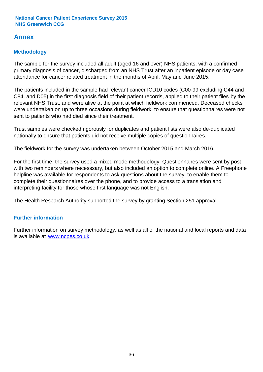### **Annex**

### **Methodology**

The sample for the survey included all adult (aged 16 and over) NHS patients, with a confirmed primary diagnosis of cancer, discharged from an NHS Trust after an inpatient episode or day case attendance for cancer related treatment in the months of April, May and June 2015.

The patients included in the sample had relevant cancer ICD10 codes (C00-99 excluding C44 and C84, and D05) in the first diagnosis field of their patient records, applied to their patient files by the relevant NHS Trust, and were alive at the point at which fieldwork commenced. Deceased checks were undertaken on up to three occasions during fieldwork, to ensure that questionnaires were not sent to patients who had died since their treatment.

Trust samples were checked rigorously for duplicates and patient lists were also de-duplicated nationally to ensure that patients did not receive multiple copies of questionnaires.

The fieldwork for the survey was undertaken between October 2015 and March 2016.

For the first time, the survey used a mixed mode methodology. Questionnaires were sent by post with two reminders where necesssary, but also included an option to complete online. A Freephone helpline was available for respondents to ask questions about the survey, to enable them to complete their questionnaires over the phone, and to provide access to a translation and interpreting facility for those whose first language was not English.

The Health Research Authority supported the survey by granting Section 251 approval.

### **Further information**

Further information on survey methodology, as well as all of the national and local reports and data, is available at www.ncpes.co.uk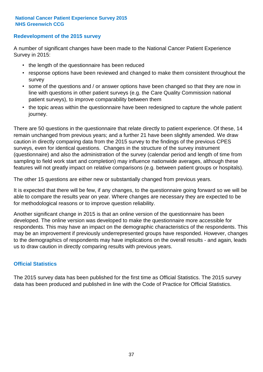#### **Redevelopment of the 2015 survey**

A number of significant changes have been made to the National Cancer Patient Experience Survey in 2015:

- the length of the questionnaire has been reduced
- response options have been reviewed and changed to make them consistent throughout the survey
- some of the questions and / or answer options have been changed so that they are now in line with questions in other patient surveys (e.g. the Care Quality Commission national patient surveys), to improve comparability between them
- the topic areas within the questionnaire have been redesigned to capture the whole patient journey.

There are 50 questions in the questionnaire that relate directly to patient experience. Of these, 14 remain unchanged from previous years; and a further 21 have been slightly amended. We draw caution in directly comparing data from the 2015 survey to the findings of the previous CPES surveys, even for identical questions. Changes in the structure of the survey instrument (questionnaire) and also the administration of the survey (calendar period and length of time from sampling to field work start and completion) may influence nationwide averages, although these features will not greatly impact on relative comparisons (e.g. between patient groups or hospitals).

The other 15 questions are either new or substantially changed from previous years.

It is expected that there will be few, if any changes, to the questionnaire going forward so we will be able to compare the results year on year. Where changes are necessary they are expected to be for methodological reasons or to improve question reliability.

Another significant change in 2015 is that an online version of the questionnaire has been developed. The online version was developed to make the questionnaire more accessible for respondents. This may have an impact on the demographic characteristics of the respondents. This may be an improvement if previously underrepresented groups have responded. However, changes to the demographics of respondents may have implications on the overall results - and again, leads us to draw caution in directly comparing results with previous years.

#### **Official Statistics**

The 2015 survey data has been published for the first time as Official Statistics. The 2015 survey data has been produced and published in line with the Code of Practice for Official Statistics.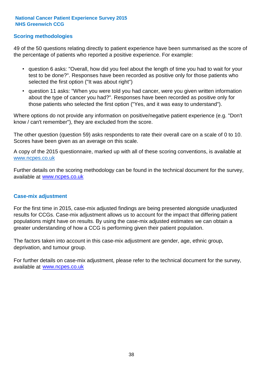#### **Scoring methodologies**

49 of the 50 questions relating directly to patient experience have been summarised as the score of the percentage of patients who reported a positive experience. For example:

- question 6 asks: "Overall, how did you feel about the length of time you had to wait for your test to be done?". Responses have been recorded as positive only for those patients who selected the first option ("It was about right")
- question 11 asks: "When you were told you had cancer, were you given written information about the type of cancer you had?". Responses have been recorded as positive only for those patients who selected the first option ("Yes, and it was easy to understand").

Where options do not provide any information on positive/negative patient experience (e.g. "Don't know / can't remember"), they are excluded from the score.

The other question (question 59) asks respondents to rate their overall care on a scale of 0 to 10. Scores have been given as an average on this scale.

A copy of the 2015 questionnaire, marked up with all of these scoring conventions, is available at www.ncpes.co.uk

Further details on the scoring methodology can be found in the technical document for the survey, available at <u>www.ncpes.co.uk</u>

#### **Case-mix adjustment**

For the first time in 2015, case-mix adjusted findings are being presented alongside unadjusted results for CCGs. Case-mix adjustment allows us to account for the impact that differing patient populations might have on results. By using the case-mix adjusted estimates we can obtain a greater understanding of how a CCG is performing given their patient population.

The factors taken into account in this case-mix adjustment are gender, age, ethnic group, deprivation, and tumour group.

For further details on case-mix adjustment, please refer to the technical document for the survey, available at www.ncpes.co.uk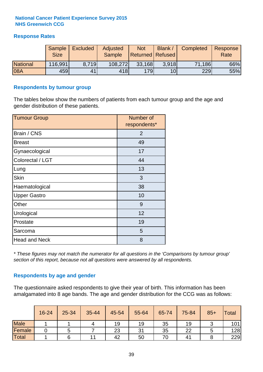#### **Response Rates**

|                 | Sample<br><b>Size</b> | <b>Excluded</b> | Adjusted<br><b>Sample</b> | <b>Not</b><br><b>Returned Refused</b> | Blank /         | Completed | Response<br>Rate |
|-----------------|-----------------------|-----------------|---------------------------|---------------------------------------|-----------------|-----------|------------------|
| <b>National</b> | 116,991               | 8.719           | 108,272                   | 33,168                                | 3.918           | 71,186    | 66%              |
| 08A             | 459                   | 41              | 418                       | 179                                   | 10 <sub>l</sub> | 229       | 55%              |

#### **Respondents by tumour group**

The tables below show the numbers of patients from each tumour group and the age and gender distribution of these patients.

| <b>Tumour Group</b>  | Number of<br>respondents* |
|----------------------|---------------------------|
| Brain / CNS          | $\overline{2}$            |
| <b>Breast</b>        | 49                        |
| Gynaecological       | 17                        |
| Colorectal / LGT     | 44                        |
| Lung                 | 13                        |
| <b>Skin</b>          | 3                         |
| Haematological       | 38                        |
| <b>Upper Gastro</b>  | 10                        |
| Other                | 9                         |
| Urological           | 12                        |
| Prostate             | 19                        |
| Sarcoma              | 5                         |
| <b>Head and Neck</b> | 8                         |

*\* These figures may not match the numerator for all questions in the 'Comparisons by tumour group' section of this report, because not all questions were answered by all respondents.*

#### **Respondents by age and gender**

The questionnaire asked respondents to give their year of birth. This information has been amalgamated into 8 age bands. The age and gender distribution for the CCG was as follows:

|             | 16-24 | 25-34 | 35-44 | 45-54 | 55-64 | 65-74 | 75-84          | $85+$ | <b>Total</b>     |
|-------------|-------|-------|-------|-------|-------|-------|----------------|-------|------------------|
| <b>Male</b> |       |       |       | 19    | 19    | 35    | 19             |       | 101 <sub>1</sub> |
| Female      |       |       |       | 23    | 31    | 35    | 22             |       | 128              |
| Total       |       |       | 11    | 42    | 50    | 70    | 4 <sup>1</sup> |       | 229              |